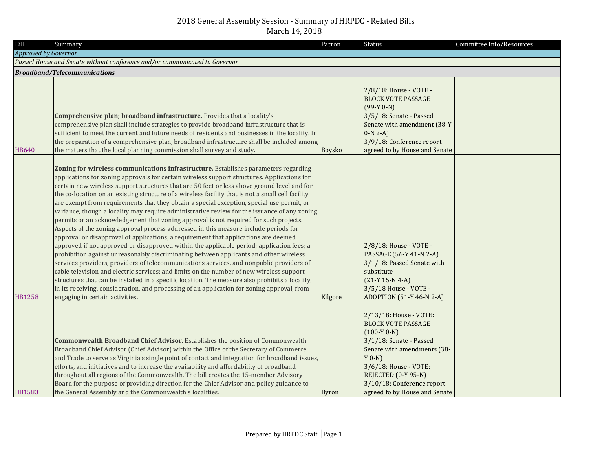| Bill                        | Summary                                                                                                                                                                                                                                                                                                                                                                                                                                                                                                                                                                                                                                                                                                                                                                                                                                                                                                                                                                                                                                                                                                                                                                                                                                                                                                                                                                                                                                                                        | Patron        | <b>Status</b>                                                                                                                                                                                                                                             | Committee Info/Resources |
|-----------------------------|--------------------------------------------------------------------------------------------------------------------------------------------------------------------------------------------------------------------------------------------------------------------------------------------------------------------------------------------------------------------------------------------------------------------------------------------------------------------------------------------------------------------------------------------------------------------------------------------------------------------------------------------------------------------------------------------------------------------------------------------------------------------------------------------------------------------------------------------------------------------------------------------------------------------------------------------------------------------------------------------------------------------------------------------------------------------------------------------------------------------------------------------------------------------------------------------------------------------------------------------------------------------------------------------------------------------------------------------------------------------------------------------------------------------------------------------------------------------------------|---------------|-----------------------------------------------------------------------------------------------------------------------------------------------------------------------------------------------------------------------------------------------------------|--------------------------|
| <b>Approved by Governor</b> |                                                                                                                                                                                                                                                                                                                                                                                                                                                                                                                                                                                                                                                                                                                                                                                                                                                                                                                                                                                                                                                                                                                                                                                                                                                                                                                                                                                                                                                                                |               |                                                                                                                                                                                                                                                           |                          |
|                             | Passed House and Senate without conference and/or communicated to Governor                                                                                                                                                                                                                                                                                                                                                                                                                                                                                                                                                                                                                                                                                                                                                                                                                                                                                                                                                                                                                                                                                                                                                                                                                                                                                                                                                                                                     |               |                                                                                                                                                                                                                                                           |                          |
|                             | <b>Broadband/Telecommunications</b>                                                                                                                                                                                                                                                                                                                                                                                                                                                                                                                                                                                                                                                                                                                                                                                                                                                                                                                                                                                                                                                                                                                                                                                                                                                                                                                                                                                                                                            |               |                                                                                                                                                                                                                                                           |                          |
| HB640                       | Comprehensive plan; broadband infrastructure. Provides that a locality's<br>comprehensive plan shall include strategies to provide broadband infrastructure that is<br>sufficient to meet the current and future needs of residents and businesses in the locality. In<br>the preparation of a comprehensive plan, broadband infrastructure shall be included among<br>the matters that the local planning commission shall survey and study.                                                                                                                                                                                                                                                                                                                                                                                                                                                                                                                                                                                                                                                                                                                                                                                                                                                                                                                                                                                                                                  | <b>Boysko</b> | 2/8/18: House - VOTE -<br><b>BLOCK VOTE PASSAGE</b><br>$(99-Y 0-N)$<br>3/5/18: Senate - Passed<br>Senate with amendment (38-Y<br>$0-N 2-A$<br>3/9/18: Conference report<br>agreed to by House and Senate                                                  |                          |
| <b>HB1258</b>               | Zoning for wireless communications infrastructure. Establishes parameters regarding<br>applications for zoning approvals for certain wireless support structures. Applications for<br>certain new wireless support structures that are 50 feet or less above ground level and for<br>the co-location on an existing structure of a wireless facility that is not a small cell facility<br>are exempt from requirements that they obtain a special exception, special use permit, or<br>variance, though a locality may require administrative review for the issuance of any zoning<br>permits or an acknowledgement that zoning approval is not required for such projects.<br>Aspects of the zoning approval process addressed in this measure include periods for<br>approval or disapproval of applications, a requirement that applications are deemed<br>approved if not approved or disapproved within the applicable period; application fees; a<br>prohibition against unreasonably discriminating between applicants and other wireless<br>services providers, providers of telecommunications services, and nonpublic providers of<br>cable television and electric services; and limits on the number of new wireless support<br>structures that can be installed in a specific location. The measure also prohibits a locality,<br>in its receiving, consideration, and processing of an application for zoning approval, from<br>engaging in certain activities. | Kilgore       | 2/8/18: House - VOTE -<br>PASSAGE (56-Y 41-N 2-A)<br>3/1/18: Passed Senate with<br>substitute<br>$(21-Y 15-N 4-A)$<br>3/5/18 House - VOTE -<br>ADOPTION (51-Y 46-N 2-A)                                                                                   |                          |
| <b>HB1583</b>               | <b>Commonwealth Broadband Chief Advisor.</b> Establishes the position of Commonwealth<br>Broadband Chief Advisor (Chief Advisor) within the Office of the Secretary of Commerce<br>and Trade to serve as Virginia's single point of contact and integration for broadband issues,<br>efforts, and initiatives and to increase the availability and affordability of broadband<br>throughout all regions of the Commonwealth. The bill creates the 15-member Advisory<br>Board for the purpose of providing direction for the Chief Advisor and policy guidance to<br>the General Assembly and the Commonwealth's localities.                                                                                                                                                                                                                                                                                                                                                                                                                                                                                                                                                                                                                                                                                                                                                                                                                                                   | <b>Byron</b>  | 2/13/18: House - VOTE:<br><b>BLOCK VOTE PASSAGE</b><br>$(100-Y 0-N)$<br>3/1/18: Senate - Passed<br>Senate with amendments (38-<br>$Y$ 0-N)<br>3/6/18: House - VOTE:<br>REJECTED (0-Y 95-N)<br>3/10/18: Conference report<br>agreed to by House and Senate |                          |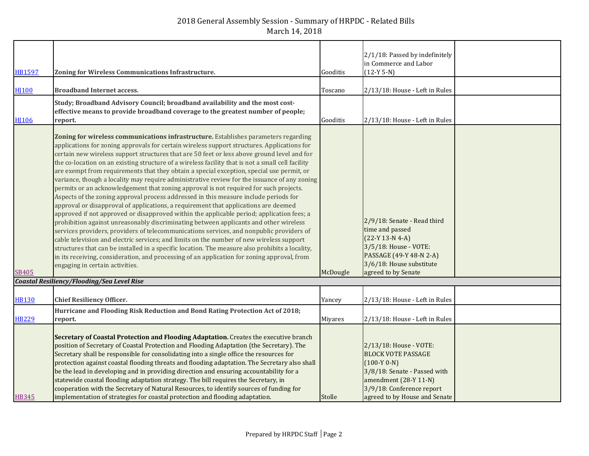| <b>HB1597</b>    | Zoning for Wireless Communications Infrastructure.                                                                                                                                                                                                                                                                                                                                                                                                                                                                                                                                                                                                                                                                                                                                                                                                                                                                                                                                                                                                                                                                                                                                                                                                                                                                                                                                                                                                                             | Gooditis | 2/1/18: Passed by indefinitely<br>in Commerce and Labor<br>$(12-Y 5-N)$                                                                                                                     |  |
|------------------|--------------------------------------------------------------------------------------------------------------------------------------------------------------------------------------------------------------------------------------------------------------------------------------------------------------------------------------------------------------------------------------------------------------------------------------------------------------------------------------------------------------------------------------------------------------------------------------------------------------------------------------------------------------------------------------------------------------------------------------------------------------------------------------------------------------------------------------------------------------------------------------------------------------------------------------------------------------------------------------------------------------------------------------------------------------------------------------------------------------------------------------------------------------------------------------------------------------------------------------------------------------------------------------------------------------------------------------------------------------------------------------------------------------------------------------------------------------------------------|----------|---------------------------------------------------------------------------------------------------------------------------------------------------------------------------------------------|--|
| H <sub>100</sub> | <b>Broadband Internet access.</b>                                                                                                                                                                                                                                                                                                                                                                                                                                                                                                                                                                                                                                                                                                                                                                                                                                                                                                                                                                                                                                                                                                                                                                                                                                                                                                                                                                                                                                              | Toscano  | 2/13/18: House - Left in Rules                                                                                                                                                              |  |
| <b>HI106</b>     | Study; Broadband Advisory Council; broadband availability and the most cost-<br>effective means to provide broadband coverage to the greatest number of people;<br>report.                                                                                                                                                                                                                                                                                                                                                                                                                                                                                                                                                                                                                                                                                                                                                                                                                                                                                                                                                                                                                                                                                                                                                                                                                                                                                                     | Gooditis | 2/13/18: House - Left in Rules                                                                                                                                                              |  |
| SB405            | Zoning for wireless communications infrastructure. Establishes parameters regarding<br>applications for zoning approvals for certain wireless support structures. Applications for<br>certain new wireless support structures that are 50 feet or less above ground level and for<br>the co-location on an existing structure of a wireless facility that is not a small cell facility<br>are exempt from requirements that they obtain a special exception, special use permit, or<br>variance, though a locality may require administrative review for the issuance of any zoning<br>permits or an acknowledgement that zoning approval is not required for such projects.<br>Aspects of the zoning approval process addressed in this measure include periods for<br>approval or disapproval of applications, a requirement that applications are deemed<br>approved if not approved or disapproved within the applicable period; application fees; a<br>prohibition against unreasonably discriminating between applicants and other wireless<br>services providers, providers of telecommunications services, and nonpublic providers of<br>cable television and electric services; and limits on the number of new wireless support<br>structures that can be installed in a specific location. The measure also prohibits a locality,<br>in its receiving, consideration, and processing of an application for zoning approval, from<br>engaging in certain activities. | McDougle | 2/9/18: Senate - Read third<br>time and passed<br>$(22-Y 13-N 4-A)$<br>3/5/18: House - VOTE:<br>PASSAGE (49-Y 48-N 2-A)<br>3/6/18: House substitute<br>agreed to by Senate                  |  |
|                  | Coastal Resiliency/Flooding/Sea Level Rise                                                                                                                                                                                                                                                                                                                                                                                                                                                                                                                                                                                                                                                                                                                                                                                                                                                                                                                                                                                                                                                                                                                                                                                                                                                                                                                                                                                                                                     |          |                                                                                                                                                                                             |  |
| <b>HB130</b>     | <b>Chief Resiliency Officer.</b>                                                                                                                                                                                                                                                                                                                                                                                                                                                                                                                                                                                                                                                                                                                                                                                                                                                                                                                                                                                                                                                                                                                                                                                                                                                                                                                                                                                                                                               | Yancey   | 2/13/18: House - Left in Rules                                                                                                                                                              |  |
| <b>HB229</b>     | Hurricane and Flooding Risk Reduction and Bond Rating Protection Act of 2018;<br>report.                                                                                                                                                                                                                                                                                                                                                                                                                                                                                                                                                                                                                                                                                                                                                                                                                                                                                                                                                                                                                                                                                                                                                                                                                                                                                                                                                                                       | Miyares  | 2/13/18: House - Left in Rules                                                                                                                                                              |  |
| <b>HB345</b>     | Secretary of Coastal Protection and Flooding Adaptation. Creates the executive branch<br>position of Secretary of Coastal Protection and Flooding Adaptation (the Secretary). The<br>Secretary shall be responsible for consolidating into a single office the resources for<br>protection against coastal flooding threats and flooding adaptation. The Secretary also shall<br>be the lead in developing and in providing direction and ensuring accountability for a<br>statewide coastal flooding adaptation strategy. The bill requires the Secretary, in<br>cooperation with the Secretary of Natural Resources, to identify sources of funding for<br>implementation of strategies for coastal protection and flooding adaptation.                                                                                                                                                                                                                                                                                                                                                                                                                                                                                                                                                                                                                                                                                                                                      | Stolle   | 2/13/18: House - VOTE:<br><b>BLOCK VOTE PASSAGE</b><br>$(100-Y 0-N)$<br>3/8/18: Senate - Passed with<br>amendment (28-Y 11-N)<br>3/9/18: Conference report<br>agreed to by House and Senate |  |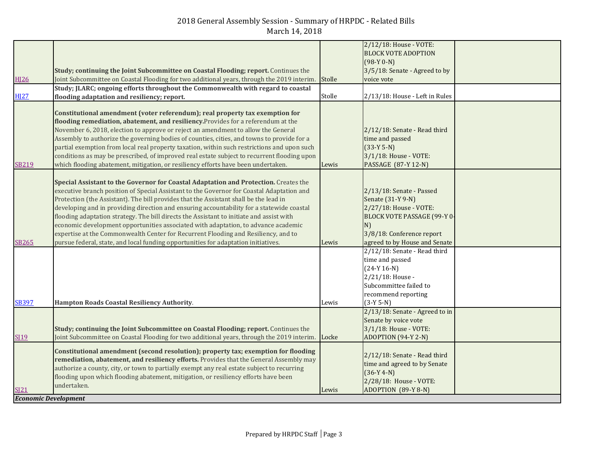| <b>HI26</b>                                | Study; continuing the Joint Subcommittee on Coastal Flooding; report. Continues the<br>Joint Subcommittee on Coastal Flooding for two additional years, through the 2019 interim. Stolle                                                                                                                                                                                                                                                                                                                                                                                                                                                                                                                                              |        | 2/12/18: House - VOTE:<br><b>BLOCK VOTE ADOPTION</b><br>$(98-Y 0-N)$<br>3/5/18: Senate - Agreed to by<br>voice vote                                                               |  |
|--------------------------------------------|---------------------------------------------------------------------------------------------------------------------------------------------------------------------------------------------------------------------------------------------------------------------------------------------------------------------------------------------------------------------------------------------------------------------------------------------------------------------------------------------------------------------------------------------------------------------------------------------------------------------------------------------------------------------------------------------------------------------------------------|--------|-----------------------------------------------------------------------------------------------------------------------------------------------------------------------------------|--|
| <b>HI27</b>                                | Study; JLARC; ongoing efforts throughout the Commonwealth with regard to coastal<br>flooding adaptation and resiliency; report.                                                                                                                                                                                                                                                                                                                                                                                                                                                                                                                                                                                                       | Stolle | 2/13/18: House - Left in Rules                                                                                                                                                    |  |
| SB219                                      | Constitutional amendment (voter referendum); real property tax exemption for<br>flooding remediation, abatement, and resiliency. Provides for a referendum at the<br>November 6, 2018, election to approve or reject an amendment to allow the General<br>Assembly to authorize the governing bodies of counties, cities, and towns to provide for a<br>partial exemption from local real property taxation, within such restrictions and upon such<br>conditions as may be prescribed, of improved real estate subject to recurrent flooding upon<br>which flooding abatement, mitigation, or resiliency efforts have been undertaken.                                                                                               | Lewis  | 2/12/18: Senate - Read third<br>time and passed<br>$(33-Y 5-N)$<br>3/1/18: House - VOTE:<br>PASSAGE (87-Y 12-N)                                                                   |  |
| SB265                                      | Special Assistant to the Governor for Coastal Adaptation and Protection. Creates the<br>executive branch position of Special Assistant to the Governor for Coastal Adaptation and<br>Protection (the Assistant). The bill provides that the Assistant shall be the lead in<br>developing and in providing direction and ensuring accountability for a statewide coastal<br>flooding adaptation strategy. The bill directs the Assistant to initiate and assist with<br>economic development opportunities associated with adaptation, to advance academic<br>expertise at the Commonwealth Center for Recurrent Flooding and Resiliency, and to<br>pursue federal, state, and local funding opportunities for adaptation initiatives. | Lewis  | 2/13/18: Senate - Passed<br>Senate (31-Y 9-N)<br>2/27/18: House - VOTE:<br><b>BLOCK VOTE PASSAGE (99-Y 0-</b><br>N)<br>3/8/18: Conference report<br>agreed to by House and Senate |  |
| <b>SB397</b>                               | Hampton Roads Coastal Resiliency Authority.                                                                                                                                                                                                                                                                                                                                                                                                                                                                                                                                                                                                                                                                                           | Lewis  | 2/12/18: Senate - Read third<br>time and passed<br>$(24-Y 16-N)$<br>2/21/18: House -<br>Subcommittee failed to<br>recommend reporting<br>$(3-Y 5-N)$                              |  |
| SI19                                       | Study; continuing the Joint Subcommittee on Coastal Flooding; report. Continues the<br>Joint Subcommittee on Coastal Flooding for two additional years, through the 2019 interim. Locke                                                                                                                                                                                                                                                                                                                                                                                                                                                                                                                                               |        | 2/13/18: Senate - Agreed to in<br>Senate by voice vote<br>3/1/18: House - VOTE:<br>ADOPTION (94-Y 2-N)                                                                            |  |
| <u>SI21</u><br><b>Economic Development</b> | Constitutional amendment (second resolution); property tax; exemption for flooding<br>remediation, abatement, and resiliency efforts. Provides that the General Assembly may<br>authorize a county, city, or town to partially exempt any real estate subject to recurring<br>flooding upon which flooding abatement, mitigation, or resiliency efforts have been<br>undertaken.                                                                                                                                                                                                                                                                                                                                                      | Lewis  | 2/12/18: Senate - Read third<br>time and agreed to by Senate<br>$(36-Y 4-N)$<br>2/28/18: House - VOTE:<br>ADOPTION (89-Y 8-N)                                                     |  |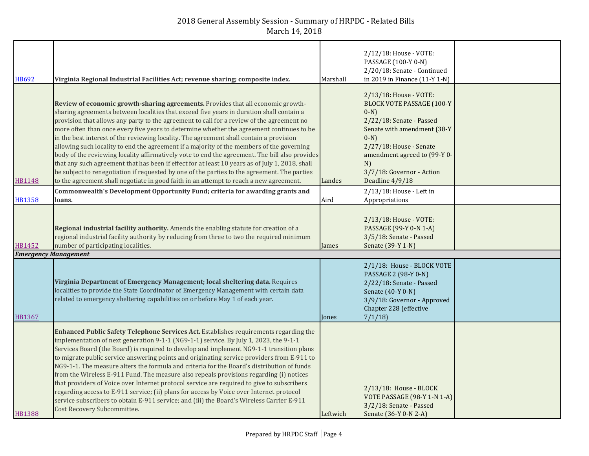| <b>HB692</b>                | Virginia Regional Industrial Facilities Act; revenue sharing; composite index.                                                                                                                                                                                                                                                                                                                                                                                                                                                                                                                                                                                                                                                                                                                                                                                                                                                                               | Marshall | 2/12/18: House - VOTE:<br>PASSAGE (100-Y 0-N)<br>2/20/18: Senate - Continued<br>in 2019 in Finance (11-Y 1-N)                                                                                                                                                |  |
|-----------------------------|--------------------------------------------------------------------------------------------------------------------------------------------------------------------------------------------------------------------------------------------------------------------------------------------------------------------------------------------------------------------------------------------------------------------------------------------------------------------------------------------------------------------------------------------------------------------------------------------------------------------------------------------------------------------------------------------------------------------------------------------------------------------------------------------------------------------------------------------------------------------------------------------------------------------------------------------------------------|----------|--------------------------------------------------------------------------------------------------------------------------------------------------------------------------------------------------------------------------------------------------------------|--|
| HB1148                      | Review of economic growth-sharing agreements. Provides that all economic growth-<br>sharing agreements between localities that exceed five years in duration shall contain a<br>provision that allows any party to the agreement to call for a review of the agreement no<br>more often than once every five years to determine whether the agreement continues to be<br>in the best interest of the reviewing locality. The agreement shall contain a provision<br>allowing such locality to end the agreement if a majority of the members of the governing<br>body of the reviewing locality affirmatively vote to end the agreement. The bill also provides<br>that any such agreement that has been if effect for at least 10 years as of July 1, 2018, shall<br>be subject to renegotiation if requested by one of the parties to the agreement. The parties<br>to the agreement shall negotiate in good faith in an attempt to reach a new agreement. | Landes   | 2/13/18: House - VOTE:<br><b>BLOCK VOTE PASSAGE (100-Y</b><br>$0-N$ )<br>2/22/18: Senate - Passed<br>Senate with amendment (38-Y<br>$(0-N)$<br>2/27/18: House - Senate<br>amendment agreed to (99-Y 0-<br>N)<br>3/7/18: Governor - Action<br>Deadline 4/9/18 |  |
| <b>HB1358</b>               | Commonwealth's Development Opportunity Fund; criteria for awarding grants and<br>loans.                                                                                                                                                                                                                                                                                                                                                                                                                                                                                                                                                                                                                                                                                                                                                                                                                                                                      | Aird     | 2/13/18: House - Left in<br>Appropriations                                                                                                                                                                                                                   |  |
| HB1452                      | Regional industrial facility authority. Amends the enabling statute for creation of a<br>regional industrial facility authority by reducing from three to two the required minimum<br>number of participating localities.                                                                                                                                                                                                                                                                                                                                                                                                                                                                                                                                                                                                                                                                                                                                    | James    | 2/13/18: House - VOTE:<br>PASSAGE (99-Y 0-N 1-A)<br>3/5/18: Senate - Passed<br>Senate (39-Y 1-N)                                                                                                                                                             |  |
| <b>Emergency Management</b> |                                                                                                                                                                                                                                                                                                                                                                                                                                                                                                                                                                                                                                                                                                                                                                                                                                                                                                                                                              |          |                                                                                                                                                                                                                                                              |  |
| <b>HB1367</b>               | Virginia Department of Emergency Management; local sheltering data. Requires<br>localities to provide the State Coordinator of Emergency Management with certain data<br>related to emergency sheltering capabilities on or before May 1 of each year.                                                                                                                                                                                                                                                                                                                                                                                                                                                                                                                                                                                                                                                                                                       | Jones    | 2/1/18: House - BLOCK VOTE<br>PASSAGE 2 (98-Y 0-N)<br>2/22/18: Senate - Passed<br>Senate (40-Y 0-N)<br>3/9/18: Governor - Approved<br>Chapter 228 (effective<br>7/1/18                                                                                       |  |
| <b>HB1388</b>               | Enhanced Public Safety Telephone Services Act. Establishes requirements regarding the<br>implementation of next generation 9-1-1 (NG9-1-1) service. By July 1, 2023, the 9-1-1<br>Services Board (the Board) is required to develop and implement NG9-1-1 transition plans<br>to migrate public service answering points and originating service providers from E-911 to<br>NG9-1-1. The measure alters the formula and criteria for the Board's distribution of funds<br>from the Wireless E-911 Fund. The measure also repeals provisions regarding (i) notices<br>that providers of Voice over Internet protocol service are required to give to subscribers<br>regarding access to E-911 service; (ii) plans for access by Voice over Internet protocol<br>service subscribers to obtain E-911 service; and (iii) the Board's Wireless Carrier E-911<br>Cost Recovery Subcommittee.                                                                      | Leftwich | 2/13/18: House - BLOCK<br>VOTE PASSAGE (98-Y 1-N 1-A)<br>3/2/18: Senate - Passed<br>Senate (36-Y 0-N 2-A)                                                                                                                                                    |  |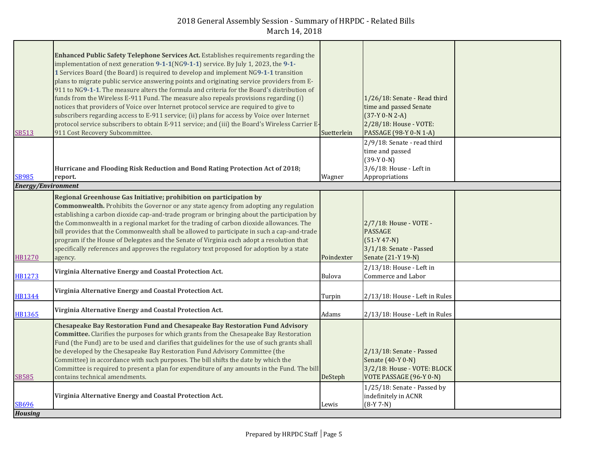|                           | Enhanced Public Safety Telephone Services Act. Establishes requirements regarding the                                                                                                          |             |                                                        |  |
|---------------------------|------------------------------------------------------------------------------------------------------------------------------------------------------------------------------------------------|-------------|--------------------------------------------------------|--|
|                           | implementation of next generation 9-1-1(NG9-1-1) service. By July 1, 2023, the 9-1-<br>1 Services Board (the Board) is required to develop and implement NG9-1-1 transition                    |             |                                                        |  |
|                           | plans to migrate public service answering points and originating service providers from E-                                                                                                     |             |                                                        |  |
|                           | 911 to NG9-1-1. The measure alters the formula and criteria for the Board's distribution of                                                                                                    |             |                                                        |  |
|                           | funds from the Wireless E-911 Fund. The measure also repeals provisions regarding (i)<br>notices that providers of Voice over Internet protocol service are required to give to                |             | 1/26/18: Senate - Read third<br>time and passed Senate |  |
|                           | subscribers regarding access to E-911 service; (ii) plans for access by Voice over Internet                                                                                                    |             | $(37-Y 0-N 2-A)$                                       |  |
|                           | protocol service subscribers to obtain E-911 service; and (iii) the Board's Wireless Carrier E-                                                                                                |             | 2/28/18: House - VOTE:                                 |  |
| SB513                     | 911 Cost Recovery Subcommittee.                                                                                                                                                                | Suetterlein | PASSAGE (98-Y 0-N 1-A)<br>2/9/18: Senate - read third  |  |
|                           |                                                                                                                                                                                                |             | time and passed                                        |  |
|                           |                                                                                                                                                                                                |             | $(39-Y 0-N)$                                           |  |
| <b>SB985</b>              | Hurricane and Flooding Risk Reduction and Bond Rating Protection Act of 2018;<br>report.                                                                                                       | Wagner      | 3/6/18: House - Left in<br>Appropriations              |  |
| <b>Energy/Environment</b> |                                                                                                                                                                                                |             |                                                        |  |
|                           | Regional Greenhouse Gas Initiative; prohibition on participation by                                                                                                                            |             |                                                        |  |
|                           | <b>Commonwealth.</b> Prohibits the Governor or any state agency from adopting any regulation                                                                                                   |             |                                                        |  |
|                           | establishing a carbon dioxide cap-and-trade program or bringing about the participation by<br>the Commonwealth in a regional market for the trading of carbon dioxide allowances. The          |             | 2/7/18: House - VOTE -                                 |  |
|                           | bill provides that the Commonwealth shall be allowed to participate in such a cap-and-trade                                                                                                    |             | <b>PASSAGE</b>                                         |  |
|                           | program if the House of Delegates and the Senate of Virginia each adopt a resolution that                                                                                                      |             | $(51-Y 47-N)$                                          |  |
| HB1270                    | specifically references and approves the regulatory text proposed for adoption by a state<br>agency.                                                                                           | Poindexter  | 3/1/18: Senate - Passed<br>Senate (21-Y 19-N)          |  |
| <b>HB1273</b>             | Virginia Alternative Energy and Coastal Protection Act.                                                                                                                                        | Bulova      | 2/13/18: House - Left in<br>Commerce and Labor         |  |
|                           | Virginia Alternative Energy and Coastal Protection Act.                                                                                                                                        |             |                                                        |  |
| <b>HB1344</b>             |                                                                                                                                                                                                | Turpin      | 2/13/18: House - Left in Rules                         |  |
| HB1365                    | Virginia Alternative Energy and Coastal Protection Act.                                                                                                                                        | Adams       | 2/13/18: House - Left in Rules                         |  |
|                           | <b>Chesapeake Bay Restoration Fund and Chesapeake Bay Restoration Fund Advisory</b>                                                                                                            |             |                                                        |  |
|                           | <b>Committee.</b> Clarifies the purposes for which grants from the Chesapeake Bay Restoration<br>Fund (the Fund) are to be used and clarifies that guidelines for the use of such grants shall |             |                                                        |  |
|                           | be developed by the Chesapeake Bay Restoration Fund Advisory Committee (the                                                                                                                    |             | 2/13/18: Senate - Passed                               |  |
|                           | Committee) in accordance with such purposes. The bill shifts the date by which the<br>Committee is required to present a plan for expenditure of any amounts in the Fund. The bill             |             | Senate (40-Y 0-N)<br>3/2/18: House - VOTE: BLOCK       |  |
| <b>SB585</b>              | contains technical amendments.                                                                                                                                                                 | DeSteph     | VOTE PASSAGE (96-Y 0-N)                                |  |
|                           |                                                                                                                                                                                                |             | 1/25/18: Senate - Passed by                            |  |
| SB696                     | Virginia Alternative Energy and Coastal Protection Act.                                                                                                                                        | Lewis       | indefinitely in ACNR<br>$(8-Y 7-N)$                    |  |
| <b>Housing</b>            |                                                                                                                                                                                                |             |                                                        |  |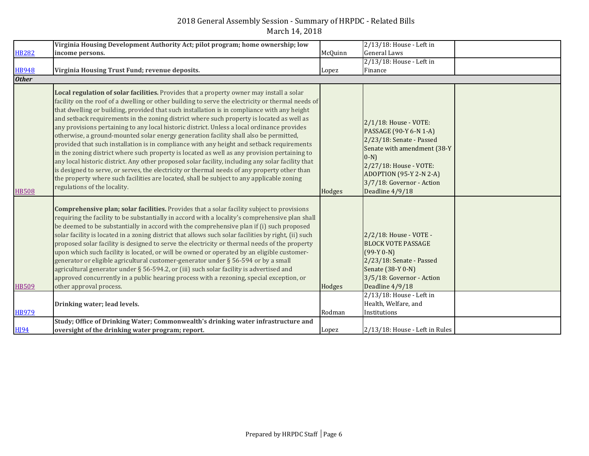|                      | Virginia Housing Development Authority Act; pilot program; home ownership; low                                                                                                                                                                                                                                                                                                                                                                                                                                                                                                                                                                                                                                                                                                                                                                                                                                                                                                                                                                                                                                   |         | 2/13/18: House - Left in                                                                                                                                                                                                        |  |
|----------------------|------------------------------------------------------------------------------------------------------------------------------------------------------------------------------------------------------------------------------------------------------------------------------------------------------------------------------------------------------------------------------------------------------------------------------------------------------------------------------------------------------------------------------------------------------------------------------------------------------------------------------------------------------------------------------------------------------------------------------------------------------------------------------------------------------------------------------------------------------------------------------------------------------------------------------------------------------------------------------------------------------------------------------------------------------------------------------------------------------------------|---------|---------------------------------------------------------------------------------------------------------------------------------------------------------------------------------------------------------------------------------|--|
| <b>HB282</b>         | income persons.                                                                                                                                                                                                                                                                                                                                                                                                                                                                                                                                                                                                                                                                                                                                                                                                                                                                                                                                                                                                                                                                                                  | McQuinn | <b>General Laws</b>                                                                                                                                                                                                             |  |
|                      |                                                                                                                                                                                                                                                                                                                                                                                                                                                                                                                                                                                                                                                                                                                                                                                                                                                                                                                                                                                                                                                                                                                  |         | 2/13/18: House - Left in                                                                                                                                                                                                        |  |
| <b>HB948</b>         | Virginia Housing Trust Fund; revenue deposits.                                                                                                                                                                                                                                                                                                                                                                                                                                                                                                                                                                                                                                                                                                                                                                                                                                                                                                                                                                                                                                                                   | Lopez   | Finance                                                                                                                                                                                                                         |  |
| <b>Other</b>         |                                                                                                                                                                                                                                                                                                                                                                                                                                                                                                                                                                                                                                                                                                                                                                                                                                                                                                                                                                                                                                                                                                                  |         |                                                                                                                                                                                                                                 |  |
| <b>HB508</b>         | Local regulation of solar facilities. Provides that a property owner may install a solar<br>facility on the roof of a dwelling or other building to serve the electricity or thermal needs of<br>that dwelling or building, provided that such installation is in compliance with any height<br>and setback requirements in the zoning district where such property is located as well as<br>any provisions pertaining to any local historic district. Unless a local ordinance provides<br>otherwise, a ground-mounted solar energy generation facility shall also be permitted,<br>provided that such installation is in compliance with any height and setback requirements<br>in the zoning district where such property is located as well as any provision pertaining to<br>any local historic district. Any other proposed solar facility, including any solar facility that<br>is designed to serve, or serves, the electricity or thermal needs of any property other than<br>the property where such facilities are located, shall be subject to any applicable zoning<br>regulations of the locality. | Hodges  | 2/1/18: House - VOTE:<br>PASSAGE (90-Y 6-N 1-A)<br>2/23/18: Senate - Passed<br>Senate with amendment (38-Y<br>$0-N$<br>2/27/18: House - VOTE:<br><b>ADOPTION (95-Y 2-N 2-A)</b><br>3/7/18: Governor - Action<br>Deadline 4/9/18 |  |
| <b>HB509</b>         | <b>Comprehensive plan; solar facilities.</b> Provides that a solar facility subject to provisions<br>requiring the facility to be substantially in accord with a locality's comprehensive plan shall<br>be deemed to be substantially in accord with the comprehensive plan if (i) such proposed<br>solar facility is located in a zoning district that allows such solar facilities by right, (ii) such<br>proposed solar facility is designed to serve the electricity or thermal needs of the property<br>upon which such facility is located, or will be owned or operated by an eligible customer-<br>generator or eligible agricultural customer-generator under § 56-594 or by a small<br>agricultural generator under § 56-594.2, or (iii) such solar facility is advertised and<br>approved concurrently in a public hearing process with a rezoning, special exception, or<br>other approval process.                                                                                                                                                                                                  | Hodges  | 2/2/18: House - VOTE -<br><b>BLOCK VOTE PASSAGE</b><br>$(99-Y 0-N)$<br>2/23/18: Senate - Passed<br>Senate (38-Y 0-N)<br>3/5/18: Governor - Action<br>Deadline 4/9/18                                                            |  |
|                      |                                                                                                                                                                                                                                                                                                                                                                                                                                                                                                                                                                                                                                                                                                                                                                                                                                                                                                                                                                                                                                                                                                                  |         |                                                                                                                                                                                                                                 |  |
|                      |                                                                                                                                                                                                                                                                                                                                                                                                                                                                                                                                                                                                                                                                                                                                                                                                                                                                                                                                                                                                                                                                                                                  |         |                                                                                                                                                                                                                                 |  |
|                      |                                                                                                                                                                                                                                                                                                                                                                                                                                                                                                                                                                                                                                                                                                                                                                                                                                                                                                                                                                                                                                                                                                                  |         |                                                                                                                                                                                                                                 |  |
|                      |                                                                                                                                                                                                                                                                                                                                                                                                                                                                                                                                                                                                                                                                                                                                                                                                                                                                                                                                                                                                                                                                                                                  | Lopez   | 2/13/18: House - Left in Rules                                                                                                                                                                                                  |  |
| <b>HB979</b><br>H194 | Drinking water; lead levels.<br>Study; Office of Drinking Water; Commonwealth's drinking water infrastructure and<br>oversight of the drinking water program; report.                                                                                                                                                                                                                                                                                                                                                                                                                                                                                                                                                                                                                                                                                                                                                                                                                                                                                                                                            | Rodman  | 2/13/18: House - Left in<br>Health, Welfare, and<br>Institutions                                                                                                                                                                |  |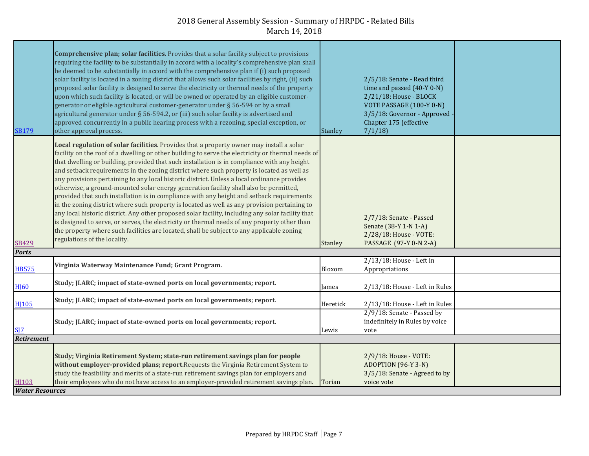| <b>SB179</b>             | Comprehensive plan; solar facilities. Provides that a solar facility subject to provisions<br>requiring the facility to be substantially in accord with a locality's comprehensive plan shall<br>be deemed to be substantially in accord with the comprehensive plan if (i) such proposed<br>solar facility is located in a zoning district that allows such solar facilities by right, (ii) such<br>proposed solar facility is designed to serve the electricity or thermal needs of the property<br>upon which such facility is located, or will be owned or operated by an eligible customer-<br>generator or eligible agricultural customer-generator under § 56-594 or by a small<br>agricultural generator under § 56-594.2, or (iii) such solar facility is advertised and<br>approved concurrently in a public hearing process with a rezoning, special exception, or<br>other approval process.                                                                                                                                                                                                         | <b>Stanley</b> | 2/5/18: Senate - Read third<br>time and passed (40-Y 0-N)<br>2/21/18: House - BLOCK<br>VOTE PASSAGE (100-Y 0-N)<br>3/5/18: Governor - Approved<br>Chapter 175 (effective<br>7/1/18 |  |
|--------------------------|------------------------------------------------------------------------------------------------------------------------------------------------------------------------------------------------------------------------------------------------------------------------------------------------------------------------------------------------------------------------------------------------------------------------------------------------------------------------------------------------------------------------------------------------------------------------------------------------------------------------------------------------------------------------------------------------------------------------------------------------------------------------------------------------------------------------------------------------------------------------------------------------------------------------------------------------------------------------------------------------------------------------------------------------------------------------------------------------------------------|----------------|------------------------------------------------------------------------------------------------------------------------------------------------------------------------------------|--|
| <b>SB429</b>             | Local regulation of solar facilities. Provides that a property owner may install a solar<br>facility on the roof of a dwelling or other building to serve the electricity or thermal needs of<br>that dwelling or building, provided that such installation is in compliance with any height<br>and setback requirements in the zoning district where such property is located as well as<br>any provisions pertaining to any local historic district. Unless a local ordinance provides<br>otherwise, a ground-mounted solar energy generation facility shall also be permitted,<br>provided that such installation is in compliance with any height and setback requirements<br>in the zoning district where such property is located as well as any provision pertaining to<br>any local historic district. Any other proposed solar facility, including any solar facility that<br>is designed to serve, or serves, the electricity or thermal needs of any property other than<br>the property where such facilities are located, shall be subject to any applicable zoning<br>regulations of the locality. | Stanley        | 2/7/18: Senate - Passed<br>Senate (38-Y 1-N 1-A)<br>2/28/18: House - VOTE:<br>PASSAGE (97-Y 0-N 2-A)                                                                               |  |
| <b>Ports</b>             |                                                                                                                                                                                                                                                                                                                                                                                                                                                                                                                                                                                                                                                                                                                                                                                                                                                                                                                                                                                                                                                                                                                  |                |                                                                                                                                                                                    |  |
| <b>HB575</b>             | Virginia Waterway Maintenance Fund; Grant Program.                                                                                                                                                                                                                                                                                                                                                                                                                                                                                                                                                                                                                                                                                                                                                                                                                                                                                                                                                                                                                                                               | Bloxom         | 2/13/18: House - Left in<br>Appropriations                                                                                                                                         |  |
| <b>HI60</b>              | Study; JLARC; impact of state-owned ports on local governments; report.                                                                                                                                                                                                                                                                                                                                                                                                                                                                                                                                                                                                                                                                                                                                                                                                                                                                                                                                                                                                                                          | James          | 2/13/18: House - Left in Rules                                                                                                                                                     |  |
| <b>HI105</b>             | Study; JLARC; impact of state-owned ports on local governments; report.                                                                                                                                                                                                                                                                                                                                                                                                                                                                                                                                                                                                                                                                                                                                                                                                                                                                                                                                                                                                                                          | Heretick       | 2/13/18: House - Left in Rules                                                                                                                                                     |  |
| <b>SI7</b><br>Retirement | Study; JLARC; impact of state-owned ports on local governments; report.                                                                                                                                                                                                                                                                                                                                                                                                                                                                                                                                                                                                                                                                                                                                                                                                                                                                                                                                                                                                                                          | Lewis          | 2/9/18: Senate - Passed by<br>indefinitely in Rules by voice<br>vote                                                                                                               |  |
|                          |                                                                                                                                                                                                                                                                                                                                                                                                                                                                                                                                                                                                                                                                                                                                                                                                                                                                                                                                                                                                                                                                                                                  |                |                                                                                                                                                                                    |  |
| HJ103                    | Study; Virginia Retirement System; state-run retirement savings plan for people<br>without employer-provided plans; report. Requests the Virginia Retirement System to<br>study the feasibility and merits of a state-run retirement savings plan for employers and<br>their employees who do not have access to an employer-provided retirement savings plan.                                                                                                                                                                                                                                                                                                                                                                                                                                                                                                                                                                                                                                                                                                                                                   | Torian         | 2/9/18: House - VOTE:<br>ADOPTION (96-Y 3-N)<br>3/5/18: Senate - Agreed to by<br>voice vote                                                                                        |  |
| <b>Water Resources</b>   |                                                                                                                                                                                                                                                                                                                                                                                                                                                                                                                                                                                                                                                                                                                                                                                                                                                                                                                                                                                                                                                                                                                  |                |                                                                                                                                                                                    |  |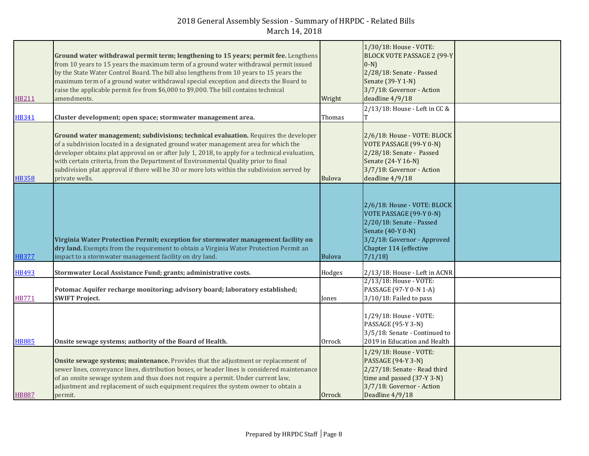| HB211        | Ground water withdrawal permit term; lengthening to 15 years; permit fee. Lengthens<br>from 10 years to 15 years the maximum term of a ground water withdrawal permit issued<br>by the State Water Control Board. The bill also lengthens from 10 years to 15 years the<br>maximum term of a ground water withdrawal special exception and directs the Board to<br>raise the applicable permit fee from \$6,000 to \$9,000. The bill contains technical<br>amendments.              | Wright | 1/30/18: House - VOTE:<br><b>BLOCK VOTE PASSAGE 2 (99-Y</b><br>$(0-N)$<br>2/28/18: Senate - Passed<br>Senate (39-Y 1-N)<br>3/7/18: Governor - Action<br>deadline 4/9/18    |  |
|--------------|-------------------------------------------------------------------------------------------------------------------------------------------------------------------------------------------------------------------------------------------------------------------------------------------------------------------------------------------------------------------------------------------------------------------------------------------------------------------------------------|--------|----------------------------------------------------------------------------------------------------------------------------------------------------------------------------|--|
| <b>HB341</b> | Cluster development; open space; stormwater management area.                                                                                                                                                                                                                                                                                                                                                                                                                        | Thomas | 2/13/18: House - Left in CC &                                                                                                                                              |  |
| <b>HB358</b> | Ground water management; subdivisions; technical evaluation. Requires the developer<br>of a subdivision located in a designated ground water management area for which the<br>developer obtains plat approval on or after July 1, 2018, to apply for a technical evaluation,<br>with certain criteria, from the Department of Environmental Quality prior to final<br>subdivision plat approval if there will be 30 or more lots within the subdivision served by<br>private wells. | Bulova | 2/6/18: House - VOTE: BLOCK<br>VOTE PASSAGE (99-Y 0-N)<br>2/28/18: Senate - Passed<br>Senate (24-Y 16-N)<br>3/7/18: Governor - Action<br>deadline 4/9/18                   |  |
| <b>HB377</b> | Virginia Water Protection Permit; exception for stormwater management facility on<br>dry land. Exempts from the requirement to obtain a Virginia Water Protection Permit an<br>impact to a stormwater management facility on dry land.                                                                                                                                                                                                                                              | Bulova | 2/6/18: House - VOTE: BLOCK<br>VOTE PASSAGE (99-Y 0-N)<br>2/20/18: Senate - Passed<br>Senate (40-Y 0-N)<br>3/2/18: Governor - Approved<br>Chapter 114 (effective<br>7/1/18 |  |
| <b>HB493</b> | Stormwater Local Assistance Fund; grants; administrative costs.                                                                                                                                                                                                                                                                                                                                                                                                                     | Hodges | 2/13/18: House - Left in ACNR                                                                                                                                              |  |
| <b>HB771</b> | Potomac Aquifer recharge monitoring; advisory board; laboratory established;<br><b>SWIFT Project.</b>                                                                                                                                                                                                                                                                                                                                                                               | Jones  | 2/13/18: House - VOTE:<br>PASSAGE (97-Y 0-N 1-A)<br>3/10/18: Failed to pass                                                                                                |  |
| <b>HB885</b> | Onsite sewage systems; authority of the Board of Health.                                                                                                                                                                                                                                                                                                                                                                                                                            | Orrock | 1/29/18: House - VOTE:<br>PASSAGE (95-Y 3-N)<br>3/5/18: Senate - Continued to<br>2019 in Education and Health                                                              |  |
| <b>HB887</b> | Onsite sewage systems; maintenance. Provides that the adjustment or replacement of<br>sewer lines, conveyance lines, distribution boxes, or header lines is considered maintenance<br>of an onsite sewage system and thus does not require a permit. Under current law,<br>adjustment and replacement of such equipment requires the system owner to obtain a<br>permit.                                                                                                            | Orrock | 1/29/18: House - VOTE:<br><b>PASSAGE (94-Y 3-N)</b><br>2/27/18: Senate - Read third<br>time and passed (37-Y 3-N)<br>3/7/18: Governor - Action<br>Deadline 4/9/18          |  |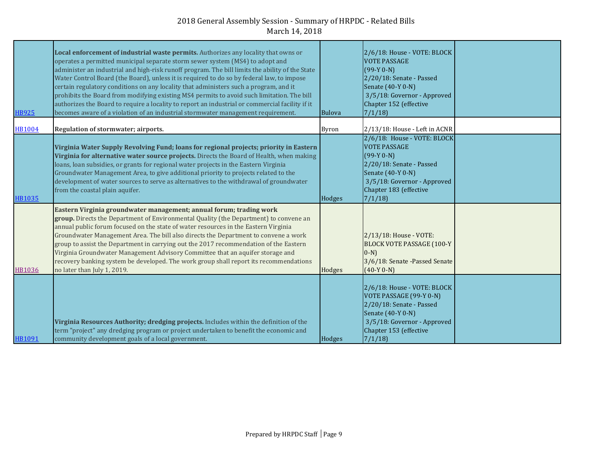| <b>HB925</b>  | Local enforcement of industrial waste permits. Authorizes any locality that owns or<br>operates a permitted municipal separate storm sewer system (MS4) to adopt and<br>administer an industrial and high-risk runoff program. The bill limits the ability of the State<br>Water Control Board (the Board), unless it is required to do so by federal law, to impose<br>certain regulatory conditions on any locality that administers such a program, and it<br>prohibits the Board from modifying existing MS4 permits to avoid such limitation. The bill<br>authorizes the Board to require a locality to report an industrial or commercial facility if it<br>becomes aware of a violation of an industrial stormwater management requirement. | <b>Bulova</b> | 2/6/18: House - VOTE: BLOCK<br><b>VOTE PASSAGE</b><br>$(99-Y 0-N)$<br>2/20/18: Senate - Passed<br>Senate (40-Y 0-N)<br>3/5/18: Governor - Approved<br>Chapter 152 (effective<br>7/1/18 |  |
|---------------|----------------------------------------------------------------------------------------------------------------------------------------------------------------------------------------------------------------------------------------------------------------------------------------------------------------------------------------------------------------------------------------------------------------------------------------------------------------------------------------------------------------------------------------------------------------------------------------------------------------------------------------------------------------------------------------------------------------------------------------------------|---------------|----------------------------------------------------------------------------------------------------------------------------------------------------------------------------------------|--|
| <b>HB1004</b> | Regulation of stormwater; airports.                                                                                                                                                                                                                                                                                                                                                                                                                                                                                                                                                                                                                                                                                                                | Byron         | 2/13/18: House - Left in ACNR                                                                                                                                                          |  |
| <b>HB1035</b> | Virginia Water Supply Revolving Fund; loans for regional projects; priority in Eastern<br>Virginia for alternative water source projects. Directs the Board of Health, when making<br>loans, loan subsidies, or grants for regional water projects in the Eastern Virginia<br>Groundwater Management Area, to give additional priority to projects related to the<br>development of water sources to serve as alternatives to the withdrawal of groundwater<br>from the coastal plain aquifer.                                                                                                                                                                                                                                                     | Hodges        | 2/6/18: House - VOTE: BLOCK<br><b>VOTE PASSAGE</b><br>$(99-Y 0-N)$<br>2/20/18: Senate - Passed<br>Senate (40-Y 0-N)<br>3/5/18: Governor - Approved<br>Chapter 183 (effective<br>7/1/18 |  |
| HB1036        | Eastern Virginia groundwater management; annual forum; trading work<br>group. Directs the Department of Environmental Quality (the Department) to convene an<br>annual public forum focused on the state of water resources in the Eastern Virginia<br>Groundwater Management Area. The bill also directs the Department to convene a work<br>group to assist the Department in carrying out the 2017 recommendation of the Eastern<br>Virginia Groundwater Management Advisory Committee that an aquifer storage and<br>recovery banking system be developed. The work group shall report its recommendations<br>no later than July 1, 2019.                                                                                                      | Hodges        | 2/13/18: House - VOTE:<br><b>BLOCK VOTE PASSAGE (100-Y</b><br>$(0-N)$<br>3/6/18: Senate -Passed Senate<br>$(40-Y 0-N)$                                                                 |  |
| HB1091        | Virginia Resources Authority; dredging projects. Includes within the definition of the<br>term "project" any dredging program or project undertaken to benefit the economic and<br>community development goals of a local government.                                                                                                                                                                                                                                                                                                                                                                                                                                                                                                              | Hodges        | 2/6/18: House - VOTE: BLOCK<br>VOTE PASSAGE (99-Y 0-N)<br>2/20/18: Senate - Passed<br>Senate (40-Y 0-N)<br>3/5/18: Governor - Approved<br>Chapter 153 (effective<br>7/1/18             |  |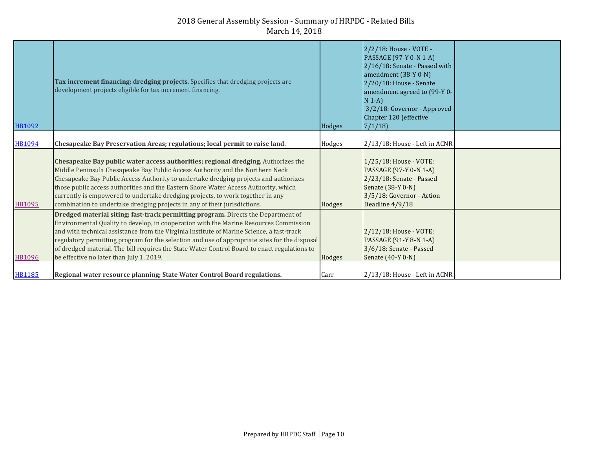| HB1092        | <b>Tax increment financing; dredging projects.</b> Specifies that dredging projects are<br>development projects eligible for tax increment financing.                                                                                                                                                                                                                                                                                                                                                                | Hodges | 2/2/18: House - VOTE -<br>PASSAGE (97-Y 0-N 1-A)<br>2/16/18: Senate - Passed with<br>amendment (38-Y 0-N)<br>2/20/18: House - Senate<br>amendment agreed to (99-Y 0-<br>$N 1-A$<br>3/2/18: Governor - Approved<br>Chapter 120 (effective<br>7/1/18 |  |
|---------------|----------------------------------------------------------------------------------------------------------------------------------------------------------------------------------------------------------------------------------------------------------------------------------------------------------------------------------------------------------------------------------------------------------------------------------------------------------------------------------------------------------------------|--------|----------------------------------------------------------------------------------------------------------------------------------------------------------------------------------------------------------------------------------------------------|--|
| <b>HB1094</b> | Chesapeake Bay Preservation Areas; regulations; local permit to raise land.                                                                                                                                                                                                                                                                                                                                                                                                                                          | Hodges | 2/13/18: House - Left in ACNR                                                                                                                                                                                                                      |  |
| <b>HB1095</b> | Chesapeake Bay public water access authorities; regional dredging. Authorizes the<br>Middle Peninsula Chesapeake Bay Public Access Authority and the Northern Neck<br>Chesapeake Bay Public Access Authority to undertake dredging projects and authorizes<br>those public access authorities and the Eastern Shore Water Access Authority, which<br>currently is empowered to undertake dredging projects, to work together in any<br>combination to undertake dredging projects in any of their jurisdictions.     | Hodges | 1/25/18: House - VOTE:<br>PASSAGE (97-Y 0-N 1-A)<br>2/23/18: Senate - Passed<br>Senate (38-Y 0-N)<br>3/5/18: Governor - Action<br>Deadline 4/9/18                                                                                                  |  |
| <b>HB1096</b> | Dredged material siting; fast-track permitting program. Directs the Department of<br>Environmental Quality to develop, in cooperation with the Marine Resources Commission<br>and with technical assistance from the Virginia Institute of Marine Science, a fast-track<br>regulatory permitting program for the selection and use of appropriate sites for the disposal<br>of dredged material. The bill requires the State Water Control Board to enact regulations to<br>be effective no later than July 1, 2019. | Hodges | 2/12/18: House - VOTE:<br>PASSAGE (91-Y 8-N 1-A)<br>3/6/18: Senate - Passed<br>Senate (40-Y 0-N)                                                                                                                                                   |  |
| <b>HB1185</b> | Regional water resource planning; State Water Control Board regulations.                                                                                                                                                                                                                                                                                                                                                                                                                                             | Carr   | 2/13/18: House - Left in ACNR                                                                                                                                                                                                                      |  |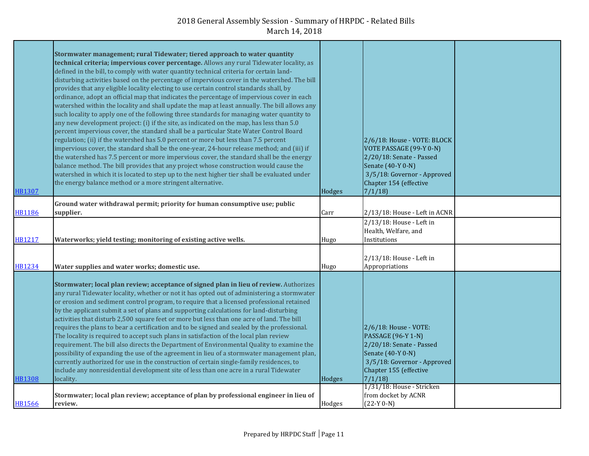| HB1307        | Stormwater management; rural Tidewater; tiered approach to water quantity<br>technical criteria; impervious cover percentage. Allows any rural Tidewater locality, as<br>defined in the bill, to comply with water quantity technical criteria for certain land-<br>disturbing activities based on the percentage of impervious cover in the watershed. The bill<br>provides that any eligible locality electing to use certain control standards shall, by<br>ordinance, adopt an official map that indicates the percentage of impervious cover in each<br>watershed within the locality and shall update the map at least annually. The bill allows any<br>such locality to apply one of the following three standards for managing water quantity to<br>any new development project: (i) if the site, as indicated on the map, has less than 5.0<br>percent impervious cover, the standard shall be a particular State Water Control Board<br>regulation; (ii) if the watershed has 5.0 percent or more but less than 7.5 percent<br>impervious cover, the standard shall be the one-year, 24-hour release method; and (iii) if<br>the watershed has 7.5 percent or more impervious cover, the standard shall be the energy<br>balance method. The bill provides that any project whose construction would cause the<br>watershed in which it is located to step up to the next higher tier shall be evaluated under<br>the energy balance method or a more stringent alternative. | Hodges | 2/6/18: House - VOTE: BLOCK<br>VOTE PASSAGE (99-Y 0-N)<br>2/20/18: Senate - Passed<br>Senate (40-Y 0-N)<br>3/5/18: Governor - Approved<br>Chapter 154 (effective<br>7/1/18                          |  |
|---------------|----------------------------------------------------------------------------------------------------------------------------------------------------------------------------------------------------------------------------------------------------------------------------------------------------------------------------------------------------------------------------------------------------------------------------------------------------------------------------------------------------------------------------------------------------------------------------------------------------------------------------------------------------------------------------------------------------------------------------------------------------------------------------------------------------------------------------------------------------------------------------------------------------------------------------------------------------------------------------------------------------------------------------------------------------------------------------------------------------------------------------------------------------------------------------------------------------------------------------------------------------------------------------------------------------------------------------------------------------------------------------------------------------------------------------------------------------------------------------------------|--------|-----------------------------------------------------------------------------------------------------------------------------------------------------------------------------------------------------|--|
| <b>HB1186</b> | Ground water withdrawal permit; priority for human consumptive use; public<br>supplier.                                                                                                                                                                                                                                                                                                                                                                                                                                                                                                                                                                                                                                                                                                                                                                                                                                                                                                                                                                                                                                                                                                                                                                                                                                                                                                                                                                                                | Carr   | 2/13/18: House - Left in ACNR                                                                                                                                                                       |  |
| HB1217        | Waterworks; yield testing; monitoring of existing active wells.                                                                                                                                                                                                                                                                                                                                                                                                                                                                                                                                                                                                                                                                                                                                                                                                                                                                                                                                                                                                                                                                                                                                                                                                                                                                                                                                                                                                                        | Hugo   | 2/13/18: House - Left in<br>Health, Welfare, and<br>Institutions                                                                                                                                    |  |
| HB1234        | Water supplies and water works; domestic use.                                                                                                                                                                                                                                                                                                                                                                                                                                                                                                                                                                                                                                                                                                                                                                                                                                                                                                                                                                                                                                                                                                                                                                                                                                                                                                                                                                                                                                          | Hugo   | 2/13/18: House - Left in<br>Appropriations                                                                                                                                                          |  |
| HB1308        | Stormwater; local plan review; acceptance of signed plan in lieu of review. Authorizes<br>any rural Tidewater locality, whether or not it has opted out of administering a stormwater<br>or erosion and sediment control program, to require that a licensed professional retained<br>by the applicant submit a set of plans and supporting calculations for land-disturbing<br>activities that disturb 2,500 square feet or more but less than one acre of land. The bill<br>requires the plans to bear a certification and to be signed and sealed by the professional.<br>The locality is required to accept such plans in satisfaction of the local plan review<br>requirement. The bill also directs the Department of Environmental Quality to examine the<br>possibility of expanding the use of the agreement in lieu of a stormwater management plan,<br>currently authorized for use in the construction of certain single-family residences, to<br>include any nonresidential development site of less than one acre in a rural Tidewater<br>locality.                                                                                                                                                                                                                                                                                                                                                                                                                      | Hodges | 2/6/18: House - VOTE:<br><b>PASSAGE (96-Y 1-N)</b><br>2/20/18: Senate - Passed<br>Senate (40-Y 0-N)<br>3/5/18: Governor - Approved<br>Chapter 155 (effective<br>7/1/18<br>1/31/18: House - Stricken |  |
| HB1566        | Stormwater; local plan review; acceptance of plan by professional engineer in lieu of<br>review.                                                                                                                                                                                                                                                                                                                                                                                                                                                                                                                                                                                                                                                                                                                                                                                                                                                                                                                                                                                                                                                                                                                                                                                                                                                                                                                                                                                       | Hodges | from docket by ACNR<br>$(22-Y 0-N)$                                                                                                                                                                 |  |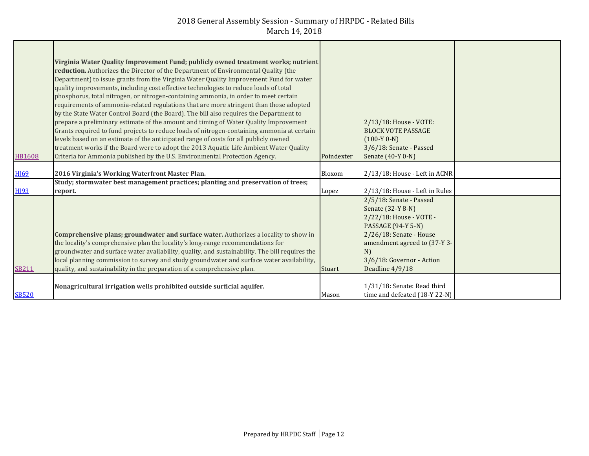| <b>HB1608</b>          | Virginia Water Quality Improvement Fund; publicly owned treatment works; nutrient<br>reduction. Authorizes the Director of the Department of Environmental Quality (the<br>Department) to issue grants from the Virginia Water Quality Improvement Fund for water<br>quality improvements, including cost effective technologies to reduce loads of total<br>phosphorus, total nitrogen, or nitrogen-containing ammonia, in order to meet certain<br>requirements of ammonia-related regulations that are more stringent than those adopted<br>by the State Water Control Board (the Board). The bill also requires the Department to<br>prepare a preliminary estimate of the amount and timing of Water Quality Improvement<br>Grants required to fund projects to reduce loads of nitrogen-containing ammonia at certain<br>levels based on an estimate of the anticipated range of costs for all publicly owned<br>treatment works if the Board were to adopt the 2013 Aquatic Life Ambient Water Quality<br>Criteria for Ammonia published by the U.S. Environmental Protection Agency. | Poindexter | 2/13/18: House - VOTE:<br><b>BLOCK VOTE PASSAGE</b><br>$(100-Y 0-N)$<br>3/6/18: Senate - Passed<br>Senate (40-Y 0-N)                                                                                                  |  |
|------------------------|----------------------------------------------------------------------------------------------------------------------------------------------------------------------------------------------------------------------------------------------------------------------------------------------------------------------------------------------------------------------------------------------------------------------------------------------------------------------------------------------------------------------------------------------------------------------------------------------------------------------------------------------------------------------------------------------------------------------------------------------------------------------------------------------------------------------------------------------------------------------------------------------------------------------------------------------------------------------------------------------------------------------------------------------------------------------------------------------|------------|-----------------------------------------------------------------------------------------------------------------------------------------------------------------------------------------------------------------------|--|
| <b>H</b> <sup>69</sup> | 2016 Virginia's Working Waterfront Master Plan.                                                                                                                                                                                                                                                                                                                                                                                                                                                                                                                                                                                                                                                                                                                                                                                                                                                                                                                                                                                                                                              | Bloxom     | 2/13/18: House - Left in ACNR                                                                                                                                                                                         |  |
| <b>H</b> <sup>93</sup> | Study; stormwater best management practices; planting and preservation of trees;<br>report.                                                                                                                                                                                                                                                                                                                                                                                                                                                                                                                                                                                                                                                                                                                                                                                                                                                                                                                                                                                                  | Lopez      | 2/13/18: House - Left in Rules                                                                                                                                                                                        |  |
| <b>SB211</b>           | Comprehensive plans; groundwater and surface water. Authorizes a locality to show in<br>the locality's comprehensive plan the locality's long-range recommendations for<br>groundwater and surface water availability, quality, and sustainability. The bill requires the<br>local planning commission to survey and study groundwater and surface water availability,<br>quality, and sustainability in the preparation of a comprehensive plan.                                                                                                                                                                                                                                                                                                                                                                                                                                                                                                                                                                                                                                            | Stuart     | 2/5/18: Senate - Passed<br>Senate (32-Y 8-N)<br>2/22/18: House - VOTE -<br><b>PASSAGE (94-Y 5-N)</b><br>2/26/18: Senate - House<br>amendment agreed to (37-Y 3-<br>N)<br>3/6/18: Governor - Action<br>Deadline 4/9/18 |  |
| <b>SB520</b>           | Nonagricultural irrigation wells prohibited outside surficial aquifer.                                                                                                                                                                                                                                                                                                                                                                                                                                                                                                                                                                                                                                                                                                                                                                                                                                                                                                                                                                                                                       | Mason      | 1/31/18: Senate: Read third<br>time and defeated (18-Y 22-N)                                                                                                                                                          |  |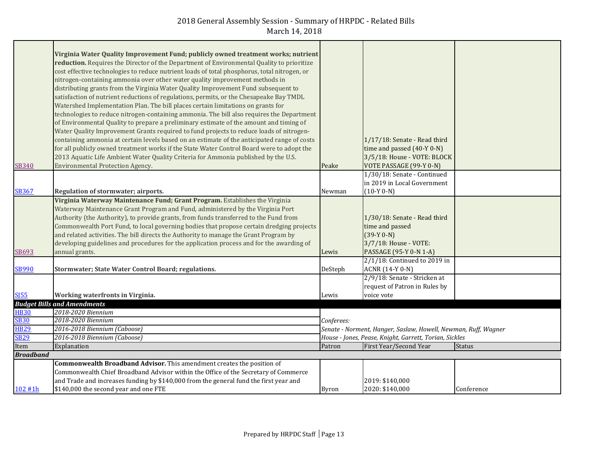| <b>SB340</b>     | Virginia Water Quality Improvement Fund; publicly owned treatment works; nutrient<br>reduction. Requires the Director of the Department of Environmental Quality to prioritize<br>cost effective technologies to reduce nutrient loads of total phosphorus, total nitrogen, or<br>nitrogen-containing ammonia over other water quality improvement methods in<br>distributing grants from the Virginia Water Quality Improvement Fund subsequent to<br>satisfaction of nutrient reductions of regulations, permits, or the Chesapeake Bay TMDL<br>Watershed Implementation Plan. The bill places certain limitations on grants for<br>technologies to reduce nitrogen-containing ammonia. The bill also requires the Department<br>of Environmental Quality to prepare a preliminary estimate of the amount and timing of<br>Water Quality Improvement Grants required to fund projects to reduce loads of nitrogen-<br>containing ammonia at certain levels based on an estimate of the anticipated range of costs<br>for all publicly owned treatment works if the State Water Control Board were to adopt the<br>2013 Aquatic Life Ambient Water Quality Criteria for Ammonia published by the U.S.<br><b>Environmental Protection Agency.</b> | Peake                                                  | 1/17/18: Senate - Read third<br>time and passed $(40-Y 0-N)$<br>3/5/18: House - VOTE: BLOCK<br>VOTE PASSAGE (99-Y 0-N) |               |
|------------------|---------------------------------------------------------------------------------------------------------------------------------------------------------------------------------------------------------------------------------------------------------------------------------------------------------------------------------------------------------------------------------------------------------------------------------------------------------------------------------------------------------------------------------------------------------------------------------------------------------------------------------------------------------------------------------------------------------------------------------------------------------------------------------------------------------------------------------------------------------------------------------------------------------------------------------------------------------------------------------------------------------------------------------------------------------------------------------------------------------------------------------------------------------------------------------------------------------------------------------------------------|--------------------------------------------------------|------------------------------------------------------------------------------------------------------------------------|---------------|
|                  |                                                                                                                                                                                                                                                                                                                                                                                                                                                                                                                                                                                                                                                                                                                                                                                                                                                                                                                                                                                                                                                                                                                                                                                                                                                   |                                                        | 1/30/18: Senate - Continued                                                                                            |               |
|                  |                                                                                                                                                                                                                                                                                                                                                                                                                                                                                                                                                                                                                                                                                                                                                                                                                                                                                                                                                                                                                                                                                                                                                                                                                                                   |                                                        | in 2019 in Local Government                                                                                            |               |
| <b>SB367</b>     | Regulation of stormwater; airports.                                                                                                                                                                                                                                                                                                                                                                                                                                                                                                                                                                                                                                                                                                                                                                                                                                                                                                                                                                                                                                                                                                                                                                                                               | Newman                                                 | $(10-Y 0-N)$                                                                                                           |               |
|                  | Virginia Waterway Maintenance Fund; Grant Program. Establishes the Virginia                                                                                                                                                                                                                                                                                                                                                                                                                                                                                                                                                                                                                                                                                                                                                                                                                                                                                                                                                                                                                                                                                                                                                                       |                                                        |                                                                                                                        |               |
|                  | Waterway Maintenance Grant Program and Fund, administered by the Virginia Port                                                                                                                                                                                                                                                                                                                                                                                                                                                                                                                                                                                                                                                                                                                                                                                                                                                                                                                                                                                                                                                                                                                                                                    |                                                        |                                                                                                                        |               |
|                  | Authority (the Authority), to provide grants, from funds transferred to the Fund from                                                                                                                                                                                                                                                                                                                                                                                                                                                                                                                                                                                                                                                                                                                                                                                                                                                                                                                                                                                                                                                                                                                                                             |                                                        | 1/30/18: Senate - Read third                                                                                           |               |
|                  | Commonwealth Port Fund, to local governing bodies that propose certain dredging projects                                                                                                                                                                                                                                                                                                                                                                                                                                                                                                                                                                                                                                                                                                                                                                                                                                                                                                                                                                                                                                                                                                                                                          |                                                        | time and passed                                                                                                        |               |
|                  | and related activities. The bill directs the Authority to manage the Grant Program by                                                                                                                                                                                                                                                                                                                                                                                                                                                                                                                                                                                                                                                                                                                                                                                                                                                                                                                                                                                                                                                                                                                                                             |                                                        | $(39-Y 0-N)$                                                                                                           |               |
|                  | developing guidelines and procedures for the application process and for the awarding of                                                                                                                                                                                                                                                                                                                                                                                                                                                                                                                                                                                                                                                                                                                                                                                                                                                                                                                                                                                                                                                                                                                                                          |                                                        | 3/7/18: House - VOTE:                                                                                                  |               |
| SB693            | annual grants.                                                                                                                                                                                                                                                                                                                                                                                                                                                                                                                                                                                                                                                                                                                                                                                                                                                                                                                                                                                                                                                                                                                                                                                                                                    | Lewis                                                  | PASSAGE (95-Y 0-N 1-A)                                                                                                 |               |
|                  |                                                                                                                                                                                                                                                                                                                                                                                                                                                                                                                                                                                                                                                                                                                                                                                                                                                                                                                                                                                                                                                                                                                                                                                                                                                   |                                                        | $2/1/18$ : Continued to 2019 in                                                                                        |               |
| <b>SB990</b>     | Stormwater; State Water Control Board; regulations.                                                                                                                                                                                                                                                                                                                                                                                                                                                                                                                                                                                                                                                                                                                                                                                                                                                                                                                                                                                                                                                                                                                                                                                               | DeSteph                                                | <b>ACNR</b> (14-Y 0-N)                                                                                                 |               |
|                  |                                                                                                                                                                                                                                                                                                                                                                                                                                                                                                                                                                                                                                                                                                                                                                                                                                                                                                                                                                                                                                                                                                                                                                                                                                                   |                                                        | 2/9/18: Senate - Stricken at                                                                                           |               |
|                  |                                                                                                                                                                                                                                                                                                                                                                                                                                                                                                                                                                                                                                                                                                                                                                                                                                                                                                                                                                                                                                                                                                                                                                                                                                                   |                                                        | request of Patron in Rules by                                                                                          |               |
| SI55             | Working waterfronts in Virginia.                                                                                                                                                                                                                                                                                                                                                                                                                                                                                                                                                                                                                                                                                                                                                                                                                                                                                                                                                                                                                                                                                                                                                                                                                  | Lewis                                                  | voice vote                                                                                                             |               |
|                  | <b>Budget Bills and Amendments</b>                                                                                                                                                                                                                                                                                                                                                                                                                                                                                                                                                                                                                                                                                                                                                                                                                                                                                                                                                                                                                                                                                                                                                                                                                |                                                        |                                                                                                                        |               |
| <b>HB30</b>      | 2018-2020 Biennium                                                                                                                                                                                                                                                                                                                                                                                                                                                                                                                                                                                                                                                                                                                                                                                                                                                                                                                                                                                                                                                                                                                                                                                                                                |                                                        |                                                                                                                        |               |
| <b>SB30</b>      | 2018-2020 Biennium                                                                                                                                                                                                                                                                                                                                                                                                                                                                                                                                                                                                                                                                                                                                                                                                                                                                                                                                                                                                                                                                                                                                                                                                                                | Conferees:                                             |                                                                                                                        |               |
| <b>HB29</b>      | 2016-2018 Biennium (Caboose)                                                                                                                                                                                                                                                                                                                                                                                                                                                                                                                                                                                                                                                                                                                                                                                                                                                                                                                                                                                                                                                                                                                                                                                                                      |                                                        | Senate - Norment, Hanger, Saslaw, Howell, Newman, Ruff, Wagner                                                         |               |
| <b>SB29</b>      | 2016-2018 Biennium (Caboose)                                                                                                                                                                                                                                                                                                                                                                                                                                                                                                                                                                                                                                                                                                                                                                                                                                                                                                                                                                                                                                                                                                                                                                                                                      | House - Jones, Pease, Knight, Garrett, Torian, Sickles |                                                                                                                        |               |
| Item             | Explanation                                                                                                                                                                                                                                                                                                                                                                                                                                                                                                                                                                                                                                                                                                                                                                                                                                                                                                                                                                                                                                                                                                                                                                                                                                       | Patron                                                 | First Year/Second Year                                                                                                 | <b>Status</b> |
| <b>Broadband</b> |                                                                                                                                                                                                                                                                                                                                                                                                                                                                                                                                                                                                                                                                                                                                                                                                                                                                                                                                                                                                                                                                                                                                                                                                                                                   |                                                        |                                                                                                                        |               |
|                  | Commonwealth Broadband Advisor. This amendment creates the position of                                                                                                                                                                                                                                                                                                                                                                                                                                                                                                                                                                                                                                                                                                                                                                                                                                                                                                                                                                                                                                                                                                                                                                            |                                                        |                                                                                                                        |               |
|                  | Commonwealth Chief Broadband Advisor within the Office of the Secretary of Commerce                                                                                                                                                                                                                                                                                                                                                                                                                                                                                                                                                                                                                                                                                                                                                                                                                                                                                                                                                                                                                                                                                                                                                               |                                                        |                                                                                                                        |               |
|                  | and Trade and increases funding by \$140,000 from the general fund the first year and                                                                                                                                                                                                                                                                                                                                                                                                                                                                                                                                                                                                                                                                                                                                                                                                                                                                                                                                                                                                                                                                                                                                                             |                                                        | 2019: \$140,000<br>2020: \$140,000                                                                                     |               |
| 102 #1h          | \$140,000 the second year and one FTE                                                                                                                                                                                                                                                                                                                                                                                                                                                                                                                                                                                                                                                                                                                                                                                                                                                                                                                                                                                                                                                                                                                                                                                                             | <b>Byron</b>                                           |                                                                                                                        | Conference    |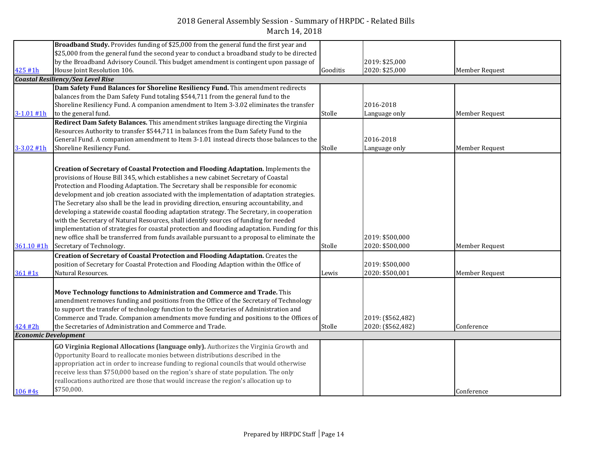|                             | Broadband Study. Provides funding of \$25,000 from the general fund the first year and        |          |                   |                |
|-----------------------------|-----------------------------------------------------------------------------------------------|----------|-------------------|----------------|
|                             | \$25,000 from the general fund the second year to conduct a broadband study to be directed    |          |                   |                |
|                             | by the Broadband Advisory Council. This budget amendment is contingent upon passage of        |          | 2019: \$25,000    |                |
| 425 #1h                     | House Joint Resolution 106.                                                                   | Gooditis | 2020: \$25,000    | Member Request |
|                             | <b>Coastal Resiliency/Sea Level Rise</b>                                                      |          |                   |                |
|                             | Dam Safety Fund Balances for Shoreline Resiliency Fund. This amendment redirects              |          |                   |                |
|                             | balances from the Dam Safety Fund totaling \$544,711 from the general fund to the             |          |                   |                |
|                             | Shoreline Resiliency Fund. A companion amendment to Item 3-3.02 eliminates the transfer       |          | 2016-2018         |                |
| $3 - 1.01$ #1h              | to the general fund.                                                                          | Stolle   | Language only     | Member Request |
|                             | Redirect Dam Safety Balances. This amendment strikes language directing the Virginia          |          |                   |                |
|                             | Resources Authority to transfer \$544,711 in balances from the Dam Safety Fund to the         |          |                   |                |
|                             | General Fund. A companion amendment to Item 3-1.01 instead directs those balances to the      |          | 2016-2018         |                |
| $3 - 3.02$ #1h              | Shoreline Resiliency Fund.                                                                    | Stolle   | Language only     | Member Request |
|                             |                                                                                               |          |                   |                |
|                             | <b>Creation of Secretary of Coastal Protection and Flooding Adaptation.</b> Implements the    |          |                   |                |
|                             | provisions of House Bill 345, which establishes a new cabinet Secretary of Coastal            |          |                   |                |
|                             | Protection and Flooding Adaptation. The Secretary shall be responsible for economic           |          |                   |                |
|                             | development and job creation associated with the implementation of adaptation strategies.     |          |                   |                |
|                             | The Secretary also shall be the lead in providing direction, ensuring accountability, and     |          |                   |                |
|                             | developing a statewide coastal flooding adaptation strategy. The Secretary, in cooperation    |          |                   |                |
|                             | with the Secretary of Natural Resources, shall identify sources of funding for needed         |          |                   |                |
|                             | implementation of strategies for coastal protection and flooding adaptation. Funding for this |          |                   |                |
|                             | new office shall be transferred from funds available pursuant to a proposal to eliminate the  |          | 2019: \$500,000   |                |
| 361.10 #1h                  | Secretary of Technology.                                                                      | Stolle   | 2020: \$500,000   | Member Request |
|                             | Creation of Secretary of Coastal Protection and Flooding Adaptation. Creates the              |          |                   |                |
|                             | position of Secretary for Coastal Protection and Flooding Adaption within the Office of       |          | 2019: \$500,000   |                |
| 361#1s                      | Natural Resources.                                                                            | Lewis    | 2020: \$500,001   | Member Request |
|                             |                                                                                               |          |                   |                |
|                             | Move Technology functions to Administration and Commerce and Trade. This                      |          |                   |                |
|                             | amendment removes funding and positions from the Office of the Secretary of Technology        |          |                   |                |
|                             | to support the transfer of technology function to the Secretaries of Administration and       |          |                   |                |
|                             | Commerce and Trade. Companion amendments move funding and positions to the Offices of         |          | 2019: (\$562,482) |                |
| 424 #2h                     | the Secretaries of Administration and Commerce and Trade.                                     | Stolle   | 2020: (\$562,482) | Conference     |
| <b>Economic Development</b> |                                                                                               |          |                   |                |
|                             | GO Virginia Regional Allocations (language only). Authorizes the Virginia Growth and          |          |                   |                |
|                             | Opportunity Board to reallocate monies between distributions described in the                 |          |                   |                |
|                             | appropriation act in order to increase funding to regional councils that would otherwise      |          |                   |                |
|                             | receive less than \$750,000 based on the region's share of state population. The only         |          |                   |                |
|                             | reallocations authorized are those that would increase the region's allocation up to          |          |                   |                |
| 106 #4s                     | \$750,000.                                                                                    |          |                   | Conference     |
|                             |                                                                                               |          |                   |                |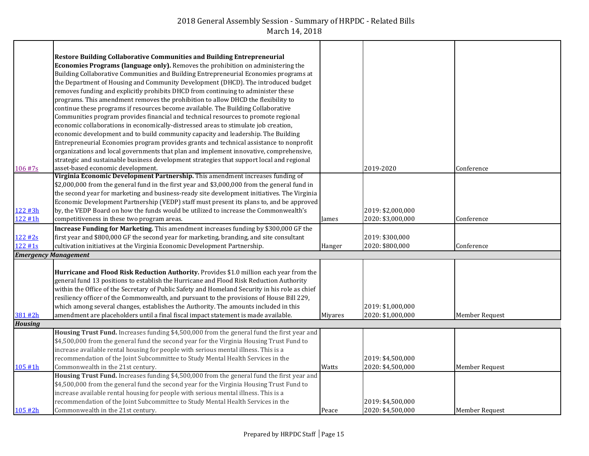|                | Restore Building Collaborative Communities and Building Entrepreneurial                        |                |                   |                |
|----------------|------------------------------------------------------------------------------------------------|----------------|-------------------|----------------|
|                | <b>Economies Programs (language only).</b> Removes the prohibition on administering the        |                |                   |                |
|                | Building Collaborative Communities and Building Entrepreneurial Economies programs at          |                |                   |                |
|                | the Department of Housing and Community Development (DHCD). The introduced budget              |                |                   |                |
|                | removes funding and explicitly prohibits DHCD from continuing to administer these              |                |                   |                |
|                | programs. This amendment removes the prohibition to allow DHCD the flexibility to              |                |                   |                |
|                | continue these programs if resources become available. The Building Collaborative              |                |                   |                |
|                | Communities program provides financial and technical resources to promote regional             |                |                   |                |
|                | economic collaborations in economically-distressed areas to stimulate job creation,            |                |                   |                |
|                | economic development and to build community capacity and leadership. The Building              |                |                   |                |
|                | Entrepreneurial Economies program provides grants and technical assistance to nonprofit        |                |                   |                |
|                | organizations and local governments that plan and implement innovative, comprehensive,         |                |                   |                |
|                | strategic and sustainable business development strategies that support local and regional      |                |                   |                |
| 106 #7s        | asset-based economic development.                                                              |                | 2019-2020         | Conference     |
|                | Virginia Economic Development Partnership. This amendment increases funding of                 |                |                   |                |
|                | \$2,000,000 from the general fund in the first year and \$3,000,000 from the general fund in   |                |                   |                |
|                | the second year for marketing and business-ready site development initiatives. The Virginia    |                |                   |                |
|                | Economic Development Partnership (VEDP) staff must present its plans to, and be approved       |                |                   |                |
| 122 #3h        | by, the VEDP Board on how the funds would be utilized to increase the Commonwealth's           |                | 2019: \$2,000,000 |                |
| 122 #1h        | competitiveness in these two program areas.                                                    | James          | 2020: \$3,000,000 | Conference     |
|                | Increase Funding for Marketing. This amendment increases funding by \$300,000 GF the           |                |                   |                |
| 122#2s         | first year and \$800,000 GF the second year for marketing, branding, and site consultant       |                | 2019: \$300,000   |                |
| 122 #1s        | cultivation initiatives at the Virginia Economic Development Partnership.                      | Hanger         | 2020: \$800,000   | Conference     |
|                | <b>Emergency Management</b>                                                                    |                |                   |                |
|                |                                                                                                |                |                   |                |
|                | Hurricane and Flood Risk Reduction Authority. Provides \$1.0 million each year from the        |                |                   |                |
|                | general fund 13 positions to establish the Hurricane and Flood Risk Reduction Authority        |                |                   |                |
|                | within the Office of the Secretary of Public Safety and Homeland Security in his role as chief |                |                   |                |
|                | resiliency officer of the Commonwealth, and pursuant to the provisions of House Bill 229,      |                |                   |                |
|                | which among several changes, establishes the Authority. The amounts included in this           |                | 2019: \$1,000,000 |                |
| 381 #2h        | amendment are placeholders until a final fiscal impact statement is made available.            | <b>Mivares</b> | 2020: \$1,000,000 | Member Request |
| <b>Housing</b> |                                                                                                |                |                   |                |
|                | Housing Trust Fund. Increases funding \$4,500,000 from the general fund the first year and     |                |                   |                |
|                | \$4,500,000 from the general fund the second year for the Virginia Housing Trust Fund to       |                |                   |                |
|                | increase available rental housing for people with serious mental illness. This is a            |                |                   |                |
|                | recommendation of the Joint Subcommittee to Study Mental Health Services in the                |                | 2019: \$4,500,000 |                |
| 105 #1h        | Commonwealth in the 21st century.                                                              | Watts          | 2020: \$4,500,000 | Member Request |
|                | Housing Trust Fund. Increases funding \$4,500,000 from the general fund the first year and     |                |                   |                |
|                | \$4,500,000 from the general fund the second year for the Virginia Housing Trust Fund to       |                |                   |                |
|                | increase available rental housing for people with serious mental illness. This is a            |                |                   |                |
|                | recommendation of the Joint Subcommittee to Study Mental Health Services in the                |                | 2019: \$4,500,000 |                |
| 105#2h         | Commonwealth in the 21st century.                                                              | Peace          | 2020: \$4,500,000 | Member Request |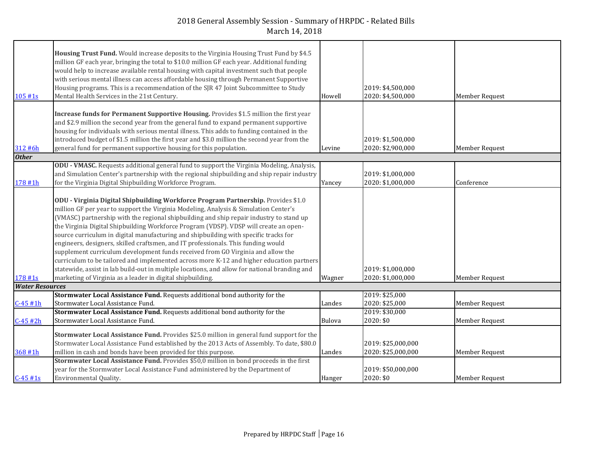|                        | Housing Trust Fund. Would increase deposits to the Virginia Housing Trust Fund by \$4.5       |        |                    |                       |
|------------------------|-----------------------------------------------------------------------------------------------|--------|--------------------|-----------------------|
|                        | million GF each year, bringing the total to \$10.0 million GF each year. Additional funding   |        |                    |                       |
|                        | would help to increase available rental housing with capital investment such that people      |        |                    |                       |
|                        | with serious mental illness can access affordable housing through Permanent Supportive        |        |                    |                       |
|                        | Housing programs. This is a recommendation of the SJR 47 Joint Subcommittee to Study          |        | 2019: \$4,500,000  |                       |
| 105 #1s                | Mental Health Services in the 21st Century.                                                   | Howell | 2020: \$4,500,000  | Member Request        |
|                        |                                                                                               |        |                    |                       |
|                        | Increase funds for Permanent Supportive Housing. Provides \$1.5 million the first year        |        |                    |                       |
|                        | and \$2.9 million the second year from the general fund to expand permanent supportive        |        |                    |                       |
|                        | housing for individuals with serious mental illness. This adds to funding contained in the    |        |                    |                       |
|                        | introduced budget of \$1.5 million the first year and \$3.0 million the second year from the  |        | 2019: \$1,500,000  |                       |
| 312 #6h                | general fund for permanent supportive housing for this population.                            | Levine | 2020: \$2,900,000  | <b>Member Request</b> |
| <b>Other</b>           |                                                                                               |        |                    |                       |
|                        | ODU - VMASC. Requests additional general fund to support the Virginia Modeling, Analysis,     |        |                    |                       |
|                        | and Simulation Center's partnership with the regional shipbuilding and ship repair industry   |        | 2019: \$1,000,000  |                       |
| 178 #1h                | for the Virginia Digital Shipbuilding Workforce Program.                                      | Yancey | 2020: \$1,000,000  | Conference            |
|                        |                                                                                               |        |                    |                       |
|                        | ODU - Virginia Digital Shipbuilding Workforce Program Partnership. Provides \$1.0             |        |                    |                       |
|                        | million GF per year to support the Virginia Modeling, Analysis & Simulation Center's          |        |                    |                       |
|                        | (VMASC) partnership with the regional shipbuilding and ship repair industry to stand up       |        |                    |                       |
|                        | the Virginia Digital Shipbuilding Workforce Program (VDSP). VDSP will create an open-         |        |                    |                       |
|                        | source curriculum in digital manufacturing and shipbuilding with specific tracks for          |        |                    |                       |
|                        | engineers, designers, skilled craftsmen, and IT professionals. This funding would             |        |                    |                       |
|                        | supplement curriculum development funds received from GO Virginia and allow the               |        |                    |                       |
|                        | curriculum to be tailored and implemented across more K-12 and higher education partners      |        |                    |                       |
|                        | statewide, assist in lab build-out in multiple locations, and allow for national branding and |        | 2019: \$1,000,000  |                       |
| $178 + 1s$             | marketing of Virginia as a leader in digital shipbuilding.                                    | Wagner | 2020: \$1,000,000  | Member Request        |
| <b>Water Resources</b> |                                                                                               |        |                    |                       |
|                        | Stormwater Local Assistance Fund. Requests additional bond authority for the                  |        | 2019: \$25,000     |                       |
| $C-45#1h$              | Stormwater Local Assistance Fund.                                                             | Landes | 2020: \$25,000     | <b>Member Request</b> |
|                        | Stormwater Local Assistance Fund. Requests additional bond authority for the                  |        | 2019: \$30,000     |                       |
| $C-45#2h$              | Stormwater Local Assistance Fund.                                                             | Bulova | 2020: \$0          | <b>Member Request</b> |
|                        | Stormwater Local Assistance Fund. Provides \$25.0 million in general fund support for the     |        |                    |                       |
|                        | Stormwater Local Assistance Fund established by the 2013 Acts of Assembly. To date, \$80.0    |        |                    |                       |
|                        |                                                                                               |        | 2019: \$25,000,000 |                       |
| 368 #1h                | million in cash and bonds have been provided for this purpose.                                | Landes | 2020: \$25,000,000 | <b>Member Request</b> |
|                        | Stormwater Local Assistance Fund. Provides \$50,0 million in bond proceeds in the first       |        |                    |                       |
|                        | year for the Stormwater Local Assistance Fund administered by the Department of               |        | 2019: \$50,000,000 |                       |
| $C - 45$ #1s           | Environmental Quality.                                                                        | Hanger | 2020: \$0          | Member Request        |